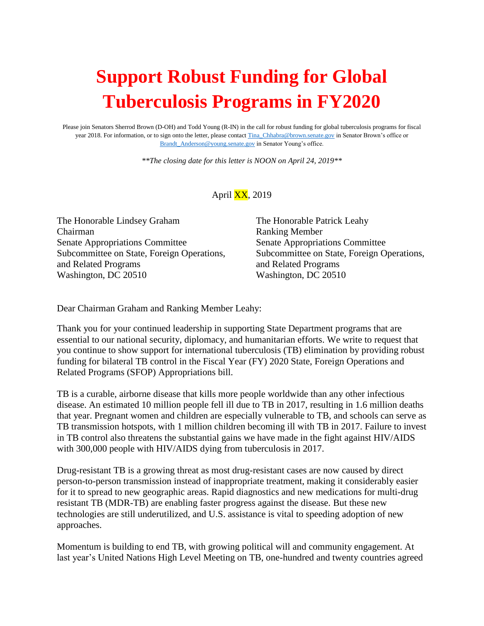## **Support Robust Funding for Global Tuberculosis Programs in FY2020**

Please join Senators Sherrod Brown (D-OH) and Todd Young (R-IN) in the call for robust funding for global tuberculosis programs for fiscal year 2018. For information, or to sign onto the letter, please contac[t Tina\\_Chhabra@brown.senate.gov](mailto:Tina_Chhabra@brown.senate.gov) in Senator Brown's office or [Brandt\\_Anderson@young.senate.gov](mailto:Brandt_Anderson@young.senate.gov) in Senator Young's office.

*\*\*The closing date for this letter is NOON on April 24, 2019\*\**

April  $\overline{XX}$ , 2019

The Honorable Lindsey Graham The Honorable Patrick Leahy Chairman Ranking Member Senate Appropriations Committee Senate Appropriations Committee and Related Programs and Related Programs Washington, DC 20510 Washington, DC 20510

Subcommittee on State, Foreign Operations, Subcommittee on State, Foreign Operations,

Dear Chairman Graham and Ranking Member Leahy:

Thank you for your continued leadership in supporting State Department programs that are essential to our national security, diplomacy, and humanitarian efforts. We write to request that you continue to show support for international tuberculosis (TB) elimination by providing robust funding for bilateral TB control in the Fiscal Year (FY) 2020 State, Foreign Operations and Related Programs (SFOP) Appropriations bill.

TB is a curable, airborne disease that kills more people worldwide than any other infectious disease. An estimated 10 million people fell ill due to TB in 2017, resulting in 1.6 million deaths that year. Pregnant women and children are especially vulnerable to TB, and schools can serve as TB transmission hotspots, with 1 million children becoming ill with TB in 2017. Failure to invest in TB control also threatens the substantial gains we have made in the fight against HIV/AIDS with 300,000 people with HIV/AIDS dying from tuberculosis in 2017.

Drug-resistant TB is a growing threat as most drug-resistant cases are now caused by direct person-to-person transmission instead of inappropriate treatment, making it considerably easier for it to spread to new geographic areas. Rapid diagnostics and new medications for multi-drug resistant TB (MDR-TB) are enabling faster progress against the disease. But these new technologies are still underutilized, and U.S. assistance is vital to speeding adoption of new approaches.

Momentum is building to end TB, with growing political will and community engagement. At last year's United Nations High Level Meeting on TB, one-hundred and twenty countries agreed